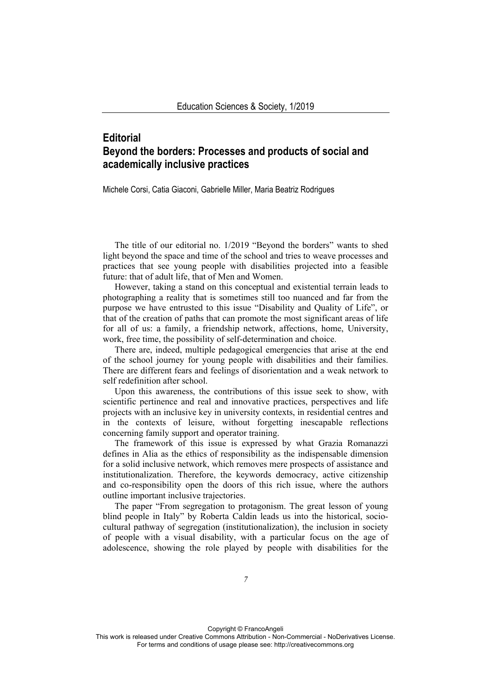## **Editorial Beyond the borders: Processes and products of social and academically inclusive practices**

Michele Corsi, Catia Giaconi, Gabrielle Miller, Maria Beatriz Rodrigues

The title of our editorial no. 1/2019 "Beyond the borders" wants to shed light beyond the space and time of the school and tries to weave processes and practices that see young people with disabilities projected into a feasible future: that of adult life, that of Men and Women.

However, taking a stand on this conceptual and existential terrain leads to photographing a reality that is sometimes still too nuanced and far from the purpose we have entrusted to this issue "Disability and Quality of Life", or that of the creation of paths that can promote the most significant areas of life for all of us: a family, a friendship network, affections, home, University, work, free time, the possibility of self-determination and choice.

There are, indeed, multiple pedagogical emergencies that arise at the end of the school journey for young people with disabilities and their families. There are different fears and feelings of disorientation and a weak network to self redefinition after school.

Upon this awareness, the contributions of this issue seek to show, with scientific pertinence and real and innovative practices, perspectives and life projects with an inclusive key in university contexts, in residential centres and in the contexts of leisure, without forgetting inescapable reflections concerning family support and operator training.

The framework of this issue is expressed by what Grazia Romanazzi defines in Alia as the ethics of responsibility as the indispensable dimension for a solid inclusive network, which removes mere prospects of assistance and institutionalization. Therefore, the keywords democracy, active citizenship and co-responsibility open the doors of this rich issue, where the authors outline important inclusive trajectories.

The paper "From segregation to protagonism. The great lesson of young blind people in Italy" by Roberta Caldin leads us into the historical, sociocultural pathway of segregation (institutionalization), the inclusion in society of people with a visual disability, with a particular focus on the age of adolescence, showing the role played by people with disabilities for the

Copyright © FrancoAngeli This work is released under Creative Commons Attribution - Non-Commercial - NoDerivatives License. For terms and conditions of usage please see: http://creativecommons.org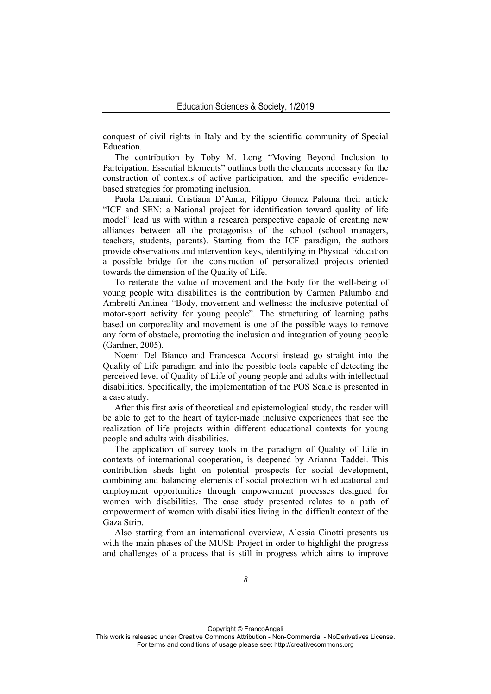conquest of civil rights in Italy and by the scientific community of Special Education.

The contribution by Toby M. Long "Moving Beyond Inclusion to Partcipation: Essential Elements" outlines both the elements necessary for the construction of contexts of active participation, and the specific evidencebased strategies for promoting inclusion.

Paola Damiani, Cristiana D'Anna, Filippo Gomez Paloma their article "ICF and SEN: a National project for identification toward quality of life model" lead us with within a research perspective capable of creating new alliances between all the protagonists of the school (school managers, teachers, students, parents). Starting from the ICF paradigm, the authors provide observations and intervention keys, identifying in Physical Education a possible bridge for the construction of personalized projects oriented towards the dimension of the Quality of Life.

To reiterate the value of movement and the body for the well-being of young people with disabilities is the contribution by Carmen Palumbo and Ambretti Antinea *"*Body, movement and wellness: the inclusive potential of motor-sport activity for young people". The structuring of learning paths based on corporeality and movement is one of the possible ways to remove any form of obstacle, promoting the inclusion and integration of young people (Gardner, 2005).

Noemi Del Bianco and Francesca Accorsi instead go straight into the Quality of Life paradigm and into the possible tools capable of detecting the perceived level of Quality of Life of young people and adults with intellectual disabilities. Specifically, the implementation of the POS Scale is presented in a case study.

After this first axis of theoretical and epistemological study, the reader will be able to get to the heart of taylor-made inclusive experiences that see the realization of life projects within different educational contexts for young people and adults with disabilities.

The application of survey tools in the paradigm of Quality of Life in contexts of international cooperation, is deepened by Arianna Taddei. This contribution sheds light on potential prospects for social development, combining and balancing elements of social protection with educational and employment opportunities through empowerment processes designed for women with disabilities. The case study presented relates to a path of empowerment of women with disabilities living in the difficult context of the Gaza Strip.

Also starting from an international overview, Alessia Cinotti presents us with the main phases of the MUSE Project in order to highlight the progress and challenges of a process that is still in progress which aims to improve

Copyright © FrancoAngeli

This work is released under Creative Commons Attribution - Non-Commercial - NoDerivatives License. For terms and conditions of usage please see: http://creativecommons.org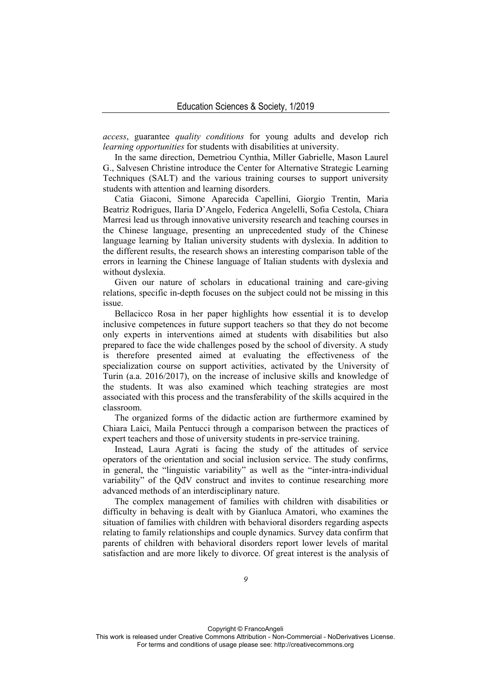*access*, guarantee *quality conditions* for young adults and develop rich *learning opportunities* for students with disabilities at university.

In the same direction, Demetriou Cynthia, Miller Gabrielle, Mason Laurel G., Salvesen Christine introduce the Center for Alternative Strategic Learning Techniques (SALT) and the various training courses to support university students with attention and learning disorders.

Catia Giaconi, Simone Aparecida Capellini, Giorgio Trentin, Maria Beatriz Rodrigues, Ilaria D'Angelo, Federica Angelelli, Sofia Cestola, Chiara Marresi lead us through innovative university research and teaching courses in the Chinese language, presenting an unprecedented study of the Chinese language learning by Italian university students with dyslexia. In addition to the different results, the research shows an interesting comparison table of the errors in learning the Chinese language of Italian students with dyslexia and without dyslexia.

Given our nature of scholars in educational training and care-giving relations, specific in-depth focuses on the subject could not be missing in this issue.

Bellacicco Rosa in her paper highlights how essential it is to develop inclusive competences in future support teachers so that they do not become only experts in interventions aimed at students with disabilities but also prepared to face the wide challenges posed by the school of diversity. A study is therefore presented aimed at evaluating the effectiveness of the specialization course on support activities, activated by the University of Turin (a.a. 2016/2017), on the increase of inclusive skills and knowledge of the students. It was also examined which teaching strategies are most associated with this process and the transferability of the skills acquired in the classroom.

The organized forms of the didactic action are furthermore examined by Chiara Laici, Maila Pentucci through a comparison between the practices of expert teachers and those of university students in pre-service training.

Instead, Laura Agrati is facing the study of the attitudes of service operators of the orientation and social inclusion service. The study confirms, in general, the "linguistic variability" as well as the "inter-intra-individual variability" of the QdV construct and invites to continue researching more advanced methods of an interdisciplinary nature.

The complex management of families with children with disabilities or difficulty in behaving is dealt with by Gianluca Amatori, who examines the situation of families with children with behavioral disorders regarding aspects relating to family relationships and couple dynamics. Survey data confirm that parents of children with behavioral disorders report lower levels of marital satisfaction and are more likely to divorce. Of great interest is the analysis of

Copyright © FrancoAngeli This work is released under Creative Commons Attribution - Non-Commercial - NoDerivatives License. For terms and conditions of usage please see: http://creativecommons.org